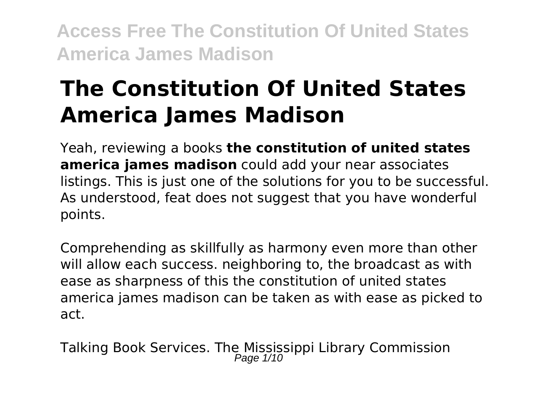# **The Constitution Of United States America James Madison**

Yeah, reviewing a books **the constitution of united states america james madison** could add your near associates listings. This is just one of the solutions for you to be successful. As understood, feat does not suggest that you have wonderful points.

Comprehending as skillfully as harmony even more than other will allow each success. neighboring to, the broadcast as with ease as sharpness of this the constitution of united states america james madison can be taken as with ease as picked to act.

Talking Book Services. The Mississippi Library Commission<br>Page 1/10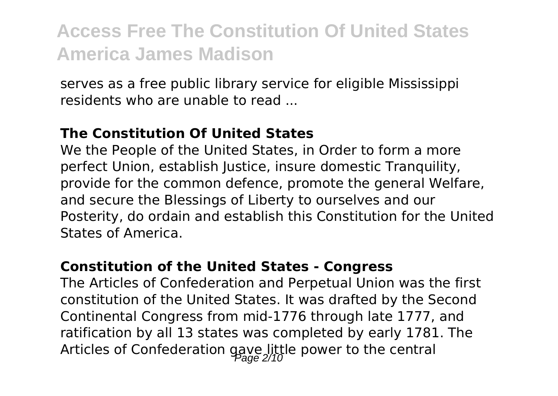serves as a free public library service for eligible Mississippi residents who are unable to read ...

#### **The Constitution Of United States**

We the People of the United States, in Order to form a more perfect Union, establish Justice, insure domestic Tranquility, provide for the common defence, promote the general Welfare, and secure the Blessings of Liberty to ourselves and our Posterity, do ordain and establish this Constitution for the United States of America.

#### **Constitution of the United States - Congress**

The Articles of Confederation and Perpetual Union was the first constitution of the United States. It was drafted by the Second Continental Congress from mid-1776 through late 1777, and ratification by all 13 states was completed by early 1781. The Articles of Confederation gave little power to the central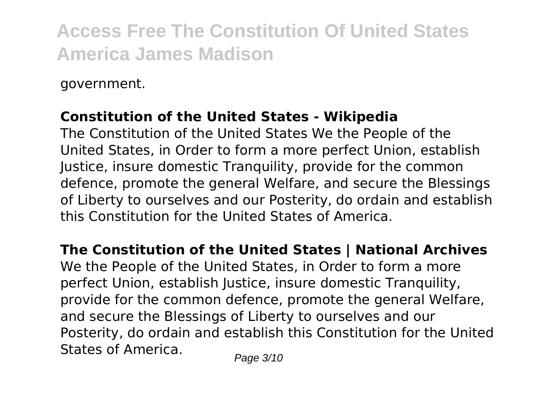government.

### **Constitution of the United States - Wikipedia**

The Constitution of the United States We the People of the United States, in Order to form a more perfect Union, establish Justice, insure domestic Tranquility, provide for the common defence, promote the general Welfare, and secure the Blessings of Liberty to ourselves and our Posterity, do ordain and establish this Constitution for the United States of America.

**The Constitution of the United States | National Archives**

We the People of the United States, in Order to form a more perfect Union, establish Justice, insure domestic Tranquility, provide for the common defence, promote the general Welfare, and secure the Blessings of Liberty to ourselves and our Posterity, do ordain and establish this Constitution for the United States of America.  $P_{\text{face 3/10}}$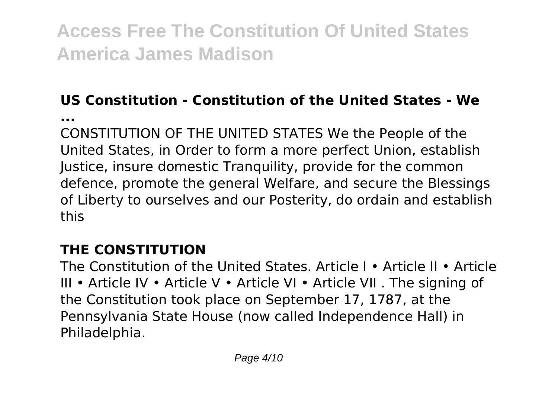### **US Constitution - Constitution of the United States - We**

**...**

CONSTITUTION OF THE UNITED STATES We the People of the United States, in Order to form a more perfect Union, establish Justice, insure domestic Tranquility, provide for the common defence, promote the general Welfare, and secure the Blessings of Liberty to ourselves and our Posterity, do ordain and establish this

### **THE CONSTITUTION**

The Constitution of the United States. Article I • Article II • Article III • Article IV • Article V • Article VI • Article VII . The signing of the Constitution took place on September 17, 1787, at the Pennsylvania State House (now called Independence Hall) in Philadelphia.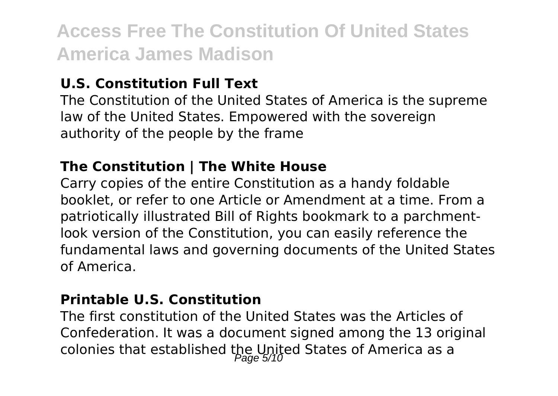### **U.S. Constitution Full Text**

The Constitution of the United States of America is the supreme law of the United States. Empowered with the sovereign authority of the people by the frame

### **The Constitution | The White House**

Carry copies of the entire Constitution as a handy foldable booklet, or refer to one Article or Amendment at a time. From a patriotically illustrated Bill of Rights bookmark to a parchmentlook version of the Constitution, you can easily reference the fundamental laws and governing documents of the United States of America.

#### **Printable U.S. Constitution**

The first constitution of the United States was the Articles of Confederation. It was a document signed among the 13 original colonies that established the United States of America as a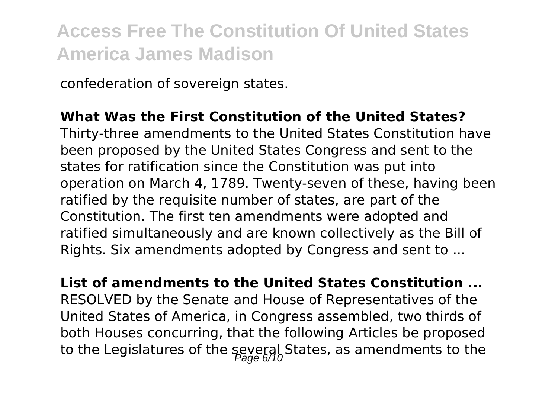confederation of sovereign states.

### **What Was the First Constitution of the United States?**

Thirty-three amendments to the United States Constitution have been proposed by the United States Congress and sent to the states for ratification since the Constitution was put into operation on March 4, 1789. Twenty-seven of these, having been ratified by the requisite number of states, are part of the Constitution. The first ten amendments were adopted and ratified simultaneously and are known collectively as the Bill of Rights. Six amendments adopted by Congress and sent to ...

**List of amendments to the United States Constitution ...** RESOLVED by the Senate and House of Representatives of the United States of America, in Congress assembled, two thirds of both Houses concurring, that the following Articles be proposed to the Legislatures of the several States, as amendments to the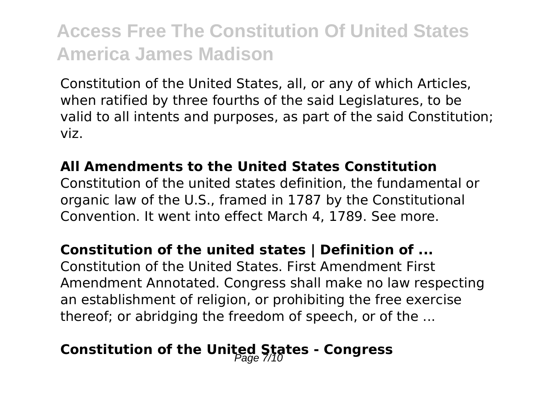Constitution of the United States, all, or any of which Articles, when ratified by three fourths of the said Legislatures, to be valid to all intents and purposes, as part of the said Constitution; viz.

#### **All Amendments to the United States Constitution**

Constitution of the united states definition, the fundamental or organic law of the U.S., framed in 1787 by the Constitutional Convention. It went into effect March 4, 1789. See more.

### **Constitution of the united states | Definition of ...**

Constitution of the United States. First Amendment First Amendment Annotated. Congress shall make no law respecting an establishment of religion, or prohibiting the free exercise thereof; or abridging the freedom of speech, or of the ...

### Constitution of the United States - Congress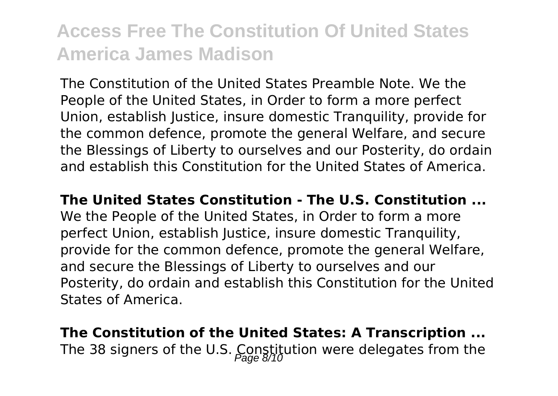The Constitution of the United States Preamble Note. We the People of the United States, in Order to form a more perfect Union, establish Justice, insure domestic Tranquility, provide for the common defence, promote the general Welfare, and secure the Blessings of Liberty to ourselves and our Posterity, do ordain and establish this Constitution for the United States of America.

**The United States Constitution - The U.S. Constitution ...**

We the People of the United States, in Order to form a more perfect Union, establish Justice, insure domestic Tranquility, provide for the common defence, promote the general Welfare, and secure the Blessings of Liberty to ourselves and our Posterity, do ordain and establish this Constitution for the United States of America.

**The Constitution of the United States: A Transcription ...** The 38 signers of the U.S. Constitution were delegates from the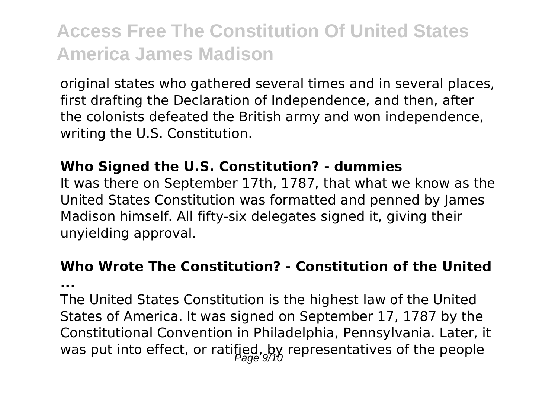original states who gathered several times and in several places, first drafting the Declaration of Independence, and then, after the colonists defeated the British army and won independence, writing the U.S. Constitution.

#### **Who Signed the U.S. Constitution? - dummies**

It was there on September 17th, 1787, that what we know as the United States Constitution was formatted and penned by James Madison himself. All fifty-six delegates signed it, giving their unyielding approval.

#### **Who Wrote The Constitution? - Constitution of the United**

**...**

The United States Constitution is the highest law of the United States of America. It was signed on September 17, 1787 by the Constitutional Convention in Philadelphia, Pennsylvania. Later, it was put into effect, or ratified, by representatives of the people